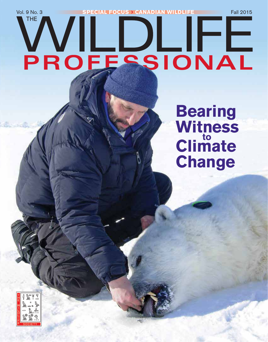# Vol. 9 No. 3 **SPECIAL FOCUS > CANADIAN WILDLIFE** Fall 2015 **THE** ╟╘  $\sqrt{ }$ PROFESSIONAL

**Bearing Witness to Climate Change**

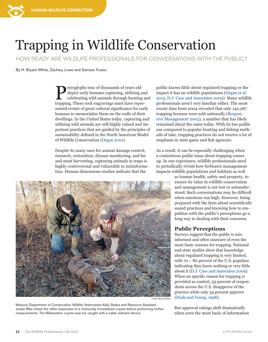

HOW READY ARE WILDLIFE PROFESSIONALS FOR CONVERSATIONS WITH THE PUBLIC?

By H. Bryant White, Zachary Lowe and Samara Trusso

Petroglyphs tens of thousands of years old<br>depict early humans capturing, utilizing a<br>celebrating wild animals through hunting depict early humans capturing, utilizing and celebrating wild animals through hunting and trapping. These rock engravings must have represented events of great cultural significance for early humans to memorialize them on the walls of their dwellings. In the United States today, capturing and utilizing wild animals are still highly valued and important practices that are guided by the principles of sustainability defined in the North American Model of Wildlife Conservation ([Organ 2010](http://www.emwh.org/pdf/conservation/North%20American%20Model%20of%20Wildlife%20Conservation.pdf)).

Despite its many uses for animal damage control, research, restoration, disease monitoring, and fur and meat harvesting, capturing animals in traps is highly controversial and vulnerable to misinformation. Human dimensions studies indicate that the



Missouri Department of Conservation Wildlife Veterinarian Kelly Straka and Resource Assistant Justan Blair check the reflex responses of a chemically immobilized coyote before performing further measurements. The Midwestern coyote was live caught with a cable restraint device.

public knows little about regulated trapping or the impact it has on wildlife populations [\(Organ et al.](http://www.tandfonline.com/doi/full/10.1080/00207233.2015.1019297)  [2015](http://www.tandfonline.com/doi/full/10.1080/00207233.2015.1019297), [D.J. Case and Associates 2009\)](http://www.dnr.state.il.us/ORC/Wildlife/furbearers/Final%20Report%20IL%20Trapping%20Sentiment%20APPROVED%204-10-09.pdf). Many wildlife professionals aren't very familiar either. The most recent data from 2004 revealed that only 142,287 trapping licenses were sold nationally [\(Respon](http://www.fishwildlife.org/files/AFWA-FINAL-TRAPPING-Report.pdf)[sive Management 2005](http://www.fishwildlife.org/files/AFWA-FINAL-TRAPPING-Report.pdf)), a number that has likely remained about the same today. With its low public use compared to popular hunting and fishing methods of take, trapping practices do not receive a lot of emphasis in state game and fish agencies.

As a result, it can be especially challenging when a contentious public issue about trapping comes up. In our experience, wildlife professionals need to periodically revisit how furbearer management impacts wildlife populations and habitats as well

> as human health, safety and property, to ensure its value in wildlife conservation and management is not lost or misunderstood. Such conversations may be difficult when emotions run high. However, being prepared with the facts about scientifically sound practices and knowing how to empathize with the public's perceptions go a long way to dealing with their concerns.

## **Public Perceptions**

Surveys suggest that the public is misinformed and often unaware of even the most basic reasons for trapping. National and state studies show that knowledge about regulated trapping is very limited, with 70 – 80 percent of the U.S. populace indicating they know nothing or very little about it [\(D.J. Case and Associates 2009](http://www.dnr.state.il.us/ORC/Wildlife/furbearers/Final%20Report%20IL%20Trapping%20Sentiment%20APPROVED%204-10-09.pdf)). When no specific reason for trapping is provided as context, 59 percent of respondents across the U.S. disapprove of the practice while only 34 percent approve ([Duda and Young, 1998](http://www.responsivemanagement.com/download/reports/AmericanAttitudes.pdf)).

But approval ratings shift dramatically when even the most basic of information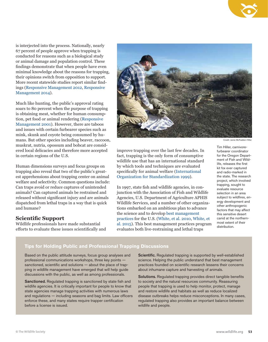is interjected into the process. Nationally, nearly 67 percent of people approve when trapping is conducted for reasons such as a biological study or animal damage and population control. These findings demonstrate that when people have even minimal knowledge about the reasons for trapping, their opinions switch from opposition to support. More recent statewide studies report similar findings ([Responsive Management 2012](http://www.responsivemanagement.com/download/reports/ID_Wildlife_Report.pdf), [Responsive](http://www.wildlife.state.nh.us/hunting/documents/game-management-phone-survey-results.pdf)  [Management 2014](http://www.wildlife.state.nh.us/hunting/documents/game-management-phone-survey-results.pdf)).

Much like hunting, the public's approval rating soars to 80 percent when the purpose of trapping is obtaining meat, whether for human consumption, pet food or animal rendering [\(Responsive](http://www.responsivemanagement.com/download/reports/TrappingFinal.pdf)  [Management 2001](http://www.responsivemanagement.com/download/reports/TrappingFinal.pdf)). However, there are taboos and issues with certain furbearer species such as mink, skunk and coyote being consumed by humans. But other species including beaver, raccoon, muskrat, nutria, opossum and bobcat are considered local delicacies and therefore more accepted in certain regions of the U.S.

Human dimensions surveys and focus groups on trapping also reveal that two of the public's greatest apprehensions about trapping center on animal welfare and selectivity. Common questions include: Can traps avoid or reduce captures of unintended animals? Can captured animals be restrained and released without significant injury and are animals dispatched from lethal traps in a way that is quick and humane?

### **Scientific Support**

Wildlife professionals have made substantial efforts to evaluate these issues scientifically and



improve trapping over the last few decades. In fact, trapping is the only form of consumptive wildlife use that has an international standard by which tools and techniques are evaluated specifically for animal welfare ([International](http://www.iso.org/iso/home/search.htm?qt=10990&sort=rel&type=simple&published=on)  [Organization for Standardization 1999](http://www.iso.org/iso/home/search.htm?qt=10990&sort=rel&type=simple&published=on)).

In 1997, state fish and wildlife agencies, in conjunction with the Association of Fish and Wildlife Agencies, U.S. Department of Agriculture APHIS Wildlife Services, and a number of other organizations embarked on an ambitious plan to advance the science and to develop [best management](http://fishwildlife.org/?section=best_management_practices)  [practices](http://fishwildlife.org/?section=best_management_practices) for the U.S. [\(White, et al. 2010](http://drupal.wildlife.org/documents/twp_archive/Fall%202010.pdf), [White, et](http://www.tandfonline.com/doi/full/10.1080/00207233.2015.1019297)  [al. 2015\)](http://www.tandfonline.com/doi/full/10.1080/00207233.2015.1019297). This best management practices program evaluates both live-restraining and lethal traps

Credit: Jamie McFadden-Hiller

Tim Hiller, carnivorefurbearer coordinator for the Oregon Department of Fish and Wildlife, releases the first kit fox ever captured and radio-marked in the state. The research project, which involved trapping, sought to evaluate resource selection in an area subject to wildfires, energy development and other anthropogenic factors that may affect this sensitive desert canid at the northernmost extent of their distribution.

### **Tips for Holding Public and Professional Trapping Discussions**

Based on the public attitude surveys, focus group analyses and professional communications workshops, three key points sanctioned, scientific and solutions — about the place of trapping in wildlife management have emerged that will help guide discussions with the public, as well as among professionals.

Sanctioned. Regulated trapping is sanctioned by state fish and wildlife agencies. It is critically important for people to know that state agencies manage trapping activities with numerous laws and regulations — including seasons and bag limits. Law officers enforce these, and many states require trapper certification before a license is issued.

Scientific. Regulated trapping is supported by well-established science. Helping the public understand that best management practices founded on scientific research lessens their concerns about inhumane capture and harvesting of animals.

Solutions. Regulated trapping provides direct tangible benefits to society and the natural resources community. Reassuring people that trapping is used to help monitor, protect, manage and restore wildlife and habitats as well as reduce localized disease outbreaks helps reduce misconceptions. In many cases, regulated trapping also provides an important balance between wildlife and people.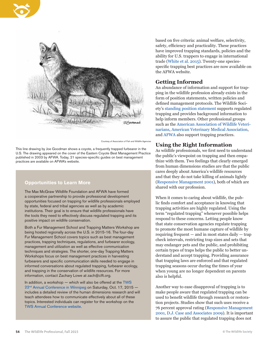



Courtesy of Association of Fish and Wildlife Agencie

This line drawing by Joe Goodman shows a coyote, a frequently trapped furbearer in the U.S. The drawing appeared on the cover of the Eastern Coyote Best Management Practice published in 2003 by AFWA. Today, 21 species-specific guides on best management practices are available on AFWA's website.

### **Opportunities to Learn More**

The Max McGraw Wildlife Foundation and AFWA have formed a cooperative partnership to provide professional development opportunities focused on trapping for wildlife professionals employed by state, federal and tribal agencies as well as by academic institutions. Their goal is to ensure that wildlife professionals have the tools they need to effectively discuss regulated trapping and its positive impact on wildlife conservation.

Both a Fur Management School and Trapping Matters Workshop are being hosted regionally across the U.S. in 2015-16. The four-day Fur Management School covers topics such as best management practices, trapping techniques, regulations, and furbearer ecology, management and utilization as well as effective communication techniques and strategies. The shorter, one-day Trapping Matters Workshops focus on best management practices in harvesting furbearers and specific communication skills needed to engage in informed conversations about regulated trapping, furbearer ecology, and trapping in the conservation of wildlife resources. For more information, contact Zachary Lowe at zach@clft.org.

In addition, a workshop — which will also be offered at the [TWS](http://www.twsconference.org)  22<sup>nd</sup> Annual Conference in Winnipeg on Saturday, Oct. 17, 2015 includes a detailed review of the human dimensions research and will teach attendees how to communicate effectively about all of these topics. Interested individuals can register for the workshop on the [TWS Annual Conference website.](http://www.twsconference.org)

based on five criteria: animal welfare, selectivity, safety, efficiency and practicality. These practices have improved trapping standards, policies and the ability for U.S. trappers to engage in international trade ([White et al. 2015\)](http://www.tandfonline.com/doi/full/10.1080/00207233.2015.1019297). Twenty-one speciesspecific trapping best practices are now available on the AFWA website.

### **Getting Informed**

An abundance of information and support for trapping in the wildlife profession already exists in the form of position statements, written policies and defined management protocols. The Wildlife Society's [standing position statement](http://wildlife.org/wp-content/uploads/2015/04/SP_TrapsTrappingandFurbearerManagement1.pdf) supports regulated trapping and provides background information to help inform members. Other professional groups such as the [American Association of Wildlife Veteri](http://www.aawv.net/)[narians,](http://www.aawv.net/) [American Veterinary Medical Association](https://www.avma.org/KB/Policies/Pages/Trapping-and-Steel-jawed-Leghold-Traps.aspx), and [AFWA](http://www.fishwildlife.org) also support trapping practices.

### **Using the Right Information**

As wildlife professionals, we first need to understand the public's viewpoint on trapping and then empathize with them. Two feelings that clearly emerged from human dimensions studies are that the public cares deeply about America's wildlife resources and that they do not take killing of animals lightly ([Responsive Management 2001\)](http://www.responsivemanagement.com/download/reports/TrappingFinal.pdf), both of which are shared with our profession.

When it comes to caring about wildlife, the public finds comfort and acceptance in knowing that trapping activities are highly regulated. Using the term "regulated trapping" whenever possible helps respond to these concerns. Letting people know that state conservation agencies regulate trapping to promote the most humane capture of wildlife by requiring frequent — and in most states daily — trap check intervals, restricting trap sizes and sets that may endanger pets and the public, and prohibiting certain types of traps helps the public to better understand and accept trapping. Providing assurance that trapping laws are enforced and that regulated trapping seasons occur during the times of year when young are no longer dependent on parents also is helpful.

Another way to ease disapproval of trapping is to make people aware that regulated trapping can be used to benefit wildlife through research or restoration projects. Studies show that such uses receive a 76 percent approval rating [\(Responsive Management](http://www.responsivemanagement.com/download/reports/TrappingFinal.pdf)  [2001](http://www.responsivemanagement.com/download/reports/TrappingFinal.pdf), [D.J. Case and Associates 2009\)](http://www.dnr.state.il.us/ORC/Wildlife/furbearers/Final%20Report%20IL%20Trapping%20Sentiment%20APPROVED%204-10-09.pdf). It is important to assure the public that regulated trapping does not